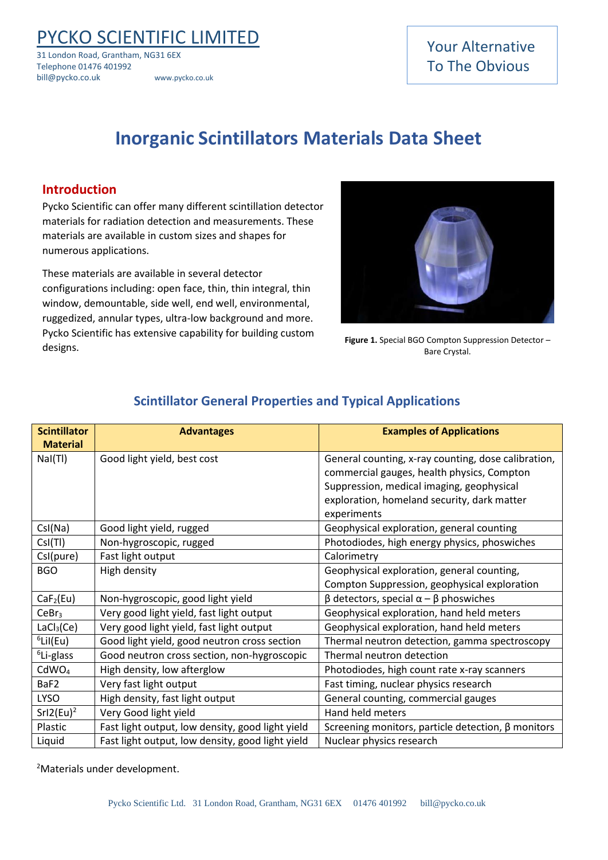PYCKO SCIENTIFIC LIMITED

31 London Road, Grantham, NG31 6EX Telephone 01476 401992 bill@pycko.co.uk www.pycko.co.uk

### Your Alternative To The Obvious

## **Inorganic Scintillators Materials Data Sheet**

#### **Introduction**

Pycko Scientific can offer many different scintillation detector materials for radiation detection and measurements. These materials are available in custom sizes and shapes for numerous applications.

These materials are available in several detector configurations including: open face, thin, thin integral, thin window, demountable, side well, end well, environmental, ruggedized, annular types, ultra-low background and more. Pycko Scientific has extensive capability for building custom designs.



**Figure 1.** Special BGO Compton Suppression Detector – Bare Crystal.

| <b>Scintillator</b><br><b>Material</b> | <b>Advantages</b>                                | <b>Examples of Applications</b>                                                                                                                                                                              |
|----------------------------------------|--------------------------------------------------|--------------------------------------------------------------------------------------------------------------------------------------------------------------------------------------------------------------|
| Nal(TI)                                | Good light yield, best cost                      | General counting, x-ray counting, dose calibration,<br>commercial gauges, health physics, Compton<br>Suppression, medical imaging, geophysical<br>exploration, homeland security, dark matter<br>experiments |
| Csl(Na)                                | Good light yield, rugged                         | Geophysical exploration, general counting                                                                                                                                                                    |
| CsI(TI)                                | Non-hygroscopic, rugged                          | Photodiodes, high energy physics, phoswiches                                                                                                                                                                 |
| CsI(pure)                              | Fast light output                                | Calorimetry                                                                                                                                                                                                  |
| <b>BGO</b>                             | High density                                     | Geophysical exploration, general counting,<br>Compton Suppression, geophysical exploration                                                                                                                   |
| CaF <sub>2</sub> (Eu)                  | Non-hygroscopic, good light yield                | $\beta$ detectors, special α – $\beta$ phoswiches                                                                                                                                                            |
| CeBr <sub>3</sub>                      | Very good light yield, fast light output         | Geophysical exploration, hand held meters                                                                                                                                                                    |
| LaCl <sub>3</sub> (Ce)                 | Very good light yield, fast light output         | Geophysical exploration, hand held meters                                                                                                                                                                    |
| $6$ Lil(Eu)                            | Good light yield, good neutron cross section     | Thermal neutron detection, gamma spectroscopy                                                                                                                                                                |
| <sup>6</sup> Li-glass                  | Good neutron cross section, non-hygroscopic      | Thermal neutron detection                                                                                                                                                                                    |
| CdWO <sub>4</sub>                      | High density, low afterglow                      | Photodiodes, high count rate x-ray scanners                                                                                                                                                                  |
| BaF2                                   | Very fast light output                           | Fast timing, nuclear physics research                                                                                                                                                                        |
| <b>LYSO</b>                            | High density, fast light output                  | General counting, commercial gauges                                                                                                                                                                          |
| SrI2(Eu) <sup>2</sup>                  | Very Good light yield                            | Hand held meters                                                                                                                                                                                             |
| Plastic                                | Fast light output, low density, good light yield | Screening monitors, particle detection, $\beta$ monitors                                                                                                                                                     |
| Liquid                                 | Fast light output, low density, good light yield | Nuclear physics research                                                                                                                                                                                     |

#### **Scintillator General Properties and Typical Applications**

<sup>2</sup>Materials under development.